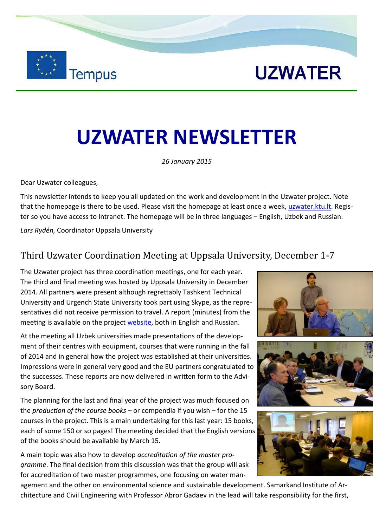**Tempus** 

# **UZWATER NEWSLETTER**

*26 January 2015*

Dear Uzwater colleagues,

This newsletter intends to keep you all updated on the work and development in the Uzwater project. Note that the homepage is there to be used. Please visit the homepage at least once a week, [uzwater.ktu.lt.](http://uzwater.ktu.lt) Register so you have access to Intranet. The homepage will be in three languages – English, Uzbek and Russian.

*Lars Rydén,* Coordinator Uppsala University

### Third Uzwater Coordination Meeting at Uppsala University, December 1-7

The Uzwater project has three coordination meetings, one for each year. The third and final meeting was hosted by Uppsala University in December 2014. All partners were present although regrettably Tashkent Technical University and Urgench State University took part using Skype, as the representatives did not receive permission to travel. A report (minutes) from the meeting is available on the project [website,](http://uzwater.ktu.lt) both in English and Russian.

At the meeting all Uzbek universities made presentations of the development of their centres with equipment, courses that were running in the fall of 2014 and in general how the project was established at their universities. Impressions were in general very good and the EU partners congratulated to the successes. These reports are now delivered in written form to the Advisory Board.

The planning for the last and final year of the project was much focused on the *production of the course books* – or compendia if you wish – for the 15 courses in the project. This is a main undertaking for this last year: 15 books, each of some 150 or so pages! The meeting decided that the English versions of the books should be available by March 15.

A main topic was also how to develop *accreditation of the master programme*. The final decision from this discussion was that the group will ask for accreditation of two master programmes, one focusing on water man-

agement and the other on environmental science and sustainable development. Samarkand Institute of Architecture and Civil Engineering with Professor Abror Gadaev in the lead will take responsibility for the first,



**UZWATER** 



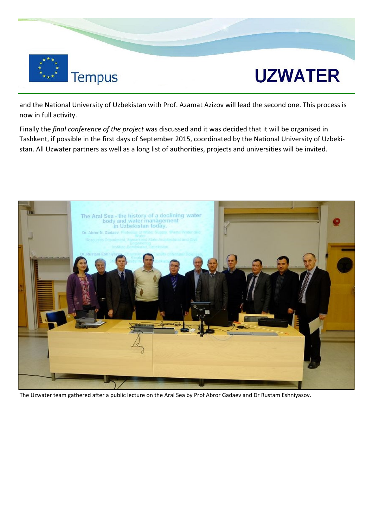

## **UZWATER**

and the National University of Uzbekistan with Prof. Azamat Azizov will lead the second one. This process is now in full activity.

Finally the *final conference of the project* was discussed and it was decided that it will be organised in Tashkent, if possible in the first days of September 2015, coordinated by the National University of Uzbekistan. All Uzwater partners as well as a long list of authorities, projects and universities will be invited.



The Uzwater team gathered after a public lecture on the Aral Sea by Prof Abror Gadaev and Dr Rustam Eshniyasov.